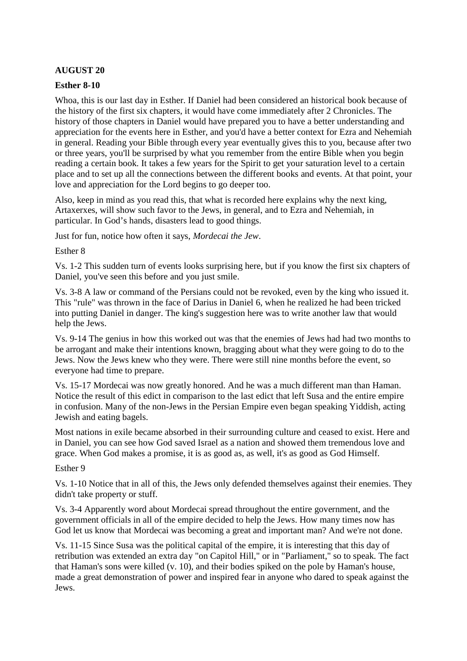# **AUGUST 20**

## **Esther 8-10**

Whoa, this is our last day in Esther. If Daniel had been considered an historical book because of the history of the first six chapters, it would have come immediately after 2 Chronicles. The history of those chapters in Daniel would have prepared you to have a better understanding and appreciation for the events here in Esther, and you'd have a better context for Ezra and Nehemiah in general. Reading your Bible through every year eventually gives this to you, because after two or three years, you'll be surprised by what you remember from the entire Bible when you begin reading a certain book. It takes a few years for the Spirit to get your saturation level to a certain place and to set up all the connections between the different books and events. At that point, your love and appreciation for the Lord begins to go deeper too.

Also, keep in mind as you read this, that what is recorded here explains why the next king, Artaxerxes, will show such favor to the Jews, in general, and to Ezra and Nehemiah, in particular. In God's hands, disasters lead to good things.

Just for fun, notice how often it says, *Mordecai the Jew*.

Esther 8

Vs. 1-2 This sudden turn of events looks surprising here, but if you know the first six chapters of Daniel, you've seen this before and you just smile.

Vs. 3-8 A law or command of the Persians could not be revoked, even by the king who issued it. This "rule" was thrown in the face of Darius in Daniel 6, when he realized he had been tricked into putting Daniel in danger. The king's suggestion here was to write another law that would help the Jews.

Vs. 9-14 The genius in how this worked out was that the enemies of Jews had had two months to be arrogant and make their intentions known, bragging about what they were going to do to the Jews. Now the Jews knew who they were. There were still nine months before the event, so everyone had time to prepare.

Vs. 15-17 Mordecai was now greatly honored. And he was a much different man than Haman. Notice the result of this edict in comparison to the last edict that left Susa and the entire empire in confusion. Many of the non-Jews in the Persian Empire even began speaking Yiddish, acting Jewish and eating bagels.

Most nations in exile became absorbed in their surrounding culture and ceased to exist. Here and in Daniel, you can see how God saved Israel as a nation and showed them tremendous love and grace. When God makes a promise, it is as good as, as well, it's as good as God Himself.

### Esther 9

Vs. 1-10 Notice that in all of this, the Jews only defended themselves against their enemies. They didn't take property or stuff.

Vs. 3-4 Apparently word about Mordecai spread throughout the entire government, and the government officials in all of the empire decided to help the Jews. How many times now has God let us know that Mordecai was becoming a great and important man? And we're not done.

Vs. 11-15 Since Susa was the political capital of the empire, it is interesting that this day of retribution was extended an extra day "on Capitol Hill," or in "Parliament," so to speak. The fact that Haman's sons were killed (v. 10), and their bodies spiked on the pole by Haman's house, made a great demonstration of power and inspired fear in anyone who dared to speak against the Jews.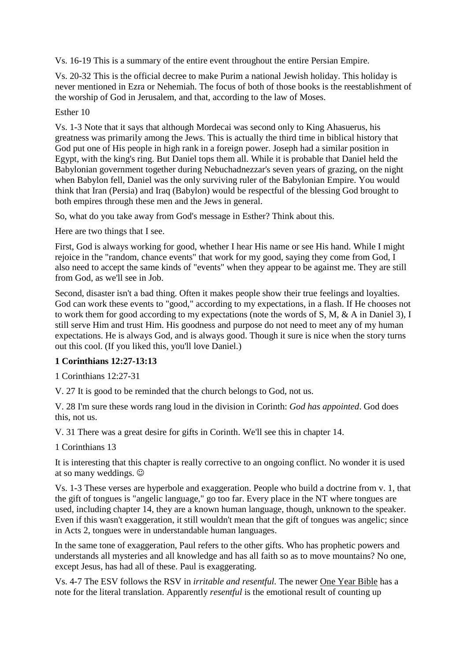Vs. 16-19 This is a summary of the entire event throughout the entire Persian Empire.

Vs. 20-32 This is the official decree to make Purim a national Jewish holiday. This holiday is never mentioned in Ezra or Nehemiah. The focus of both of those books is the reestablishment of the worship of God in Jerusalem, and that, according to the law of Moses.

### Esther 10

Vs. 1-3 Note that it says that although Mordecai was second only to King Ahasuerus, his greatness was primarily among the Jews. This is actually the third time in biblical history that God put one of His people in high rank in a foreign power. Joseph had a similar position in Egypt, with the king's ring. But Daniel tops them all. While it is probable that Daniel held the Babylonian government together during Nebuchadnezzar's seven years of grazing, on the night when Babylon fell, Daniel was the only surviving ruler of the Babylonian Empire. You would think that Iran (Persia) and Iraq (Babylon) would be respectful of the blessing God brought to both empires through these men and the Jews in general.

So, what do you take away from God's message in Esther? Think about this.

Here are two things that I see.

First, God is always working for good, whether I hear His name or see His hand. While I might rejoice in the "random, chance events" that work for my good, saying they come from God, I also need to accept the same kinds of "events" when they appear to be against me. They are still from God, as we'll see in Job.

Second, disaster isn't a bad thing. Often it makes people show their true feelings and loyalties. God can work these events to "good," according to my expectations, in a flash. If He chooses not to work them for good according to my expectations (note the words of S, M, & A in Daniel 3), I still serve Him and trust Him. His goodness and purpose do not need to meet any of my human expectations. He is always God, and is always good. Though it sure is nice when the story turns out this cool. (If you liked this, you'll love Daniel.)

# **1 Corinthians 12:27-13:13**

1 Corinthians 12:27-31

V. 27 It is good to be reminded that the church belongs to God, not us.

V. 28 I'm sure these words rang loud in the division in Corinth: *God has appointed*. God does this, not us.

V. 31 There was a great desire for gifts in Corinth. We'll see this in chapter 14.

1 Corinthians 13

It is interesting that this chapter is really corrective to an ongoing conflict. No wonder it is used at so many weddings. ☺

Vs. 1-3 These verses are hyperbole and exaggeration. People who build a doctrine from v. 1, that the gift of tongues is "angelic language," go too far. Every place in the NT where tongues are used, including chapter 14, they are a known human language, though, unknown to the speaker. Even if this wasn't exaggeration, it still wouldn't mean that the gift of tongues was angelic; since in Acts 2, tongues were in understandable human languages.

In the same tone of exaggeration, Paul refers to the other gifts. Who has prophetic powers and understands all mysteries and all knowledge and has all faith so as to move mountains? No one, except Jesus, has had all of these. Paul is exaggerating.

Vs. 4-7 The ESV follows the RSV in *irritable and resentful.* The newer One Year Bible has a note for the literal translation. Apparently *resentful* is the emotional result of counting up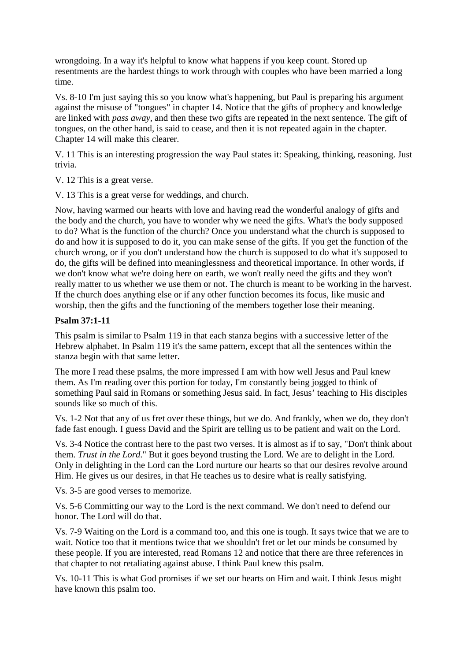wrongdoing. In a way it's helpful to know what happens if you keep count. Stored up resentments are the hardest things to work through with couples who have been married a long time.

Vs. 8-10 I'm just saying this so you know what's happening, but Paul is preparing his argument against the misuse of "tongues" in chapter 14. Notice that the gifts of prophecy and knowledge are linked with *pass away*, and then these two gifts are repeated in the next sentence. The gift of tongues, on the other hand, is said to cease, and then it is not repeated again in the chapter. Chapter 14 will make this clearer.

V. 11 This is an interesting progression the way Paul states it: Speaking, thinking, reasoning. Just trivia.

V. 12 This is a great verse.

V. 13 This is a great verse for weddings, and church.

Now, having warmed our hearts with love and having read the wonderful analogy of gifts and the body and the church, you have to wonder why we need the gifts. What's the body supposed to do? What is the function of the church? Once you understand what the church is supposed to do and how it is supposed to do it, you can make sense of the gifts. If you get the function of the church wrong, or if you don't understand how the church is supposed to do what it's supposed to do, the gifts will be defined into meaninglessness and theoretical importance. In other words, if we don't know what we're doing here on earth, we won't really need the gifts and they won't really matter to us whether we use them or not. The church is meant to be working in the harvest. If the church does anything else or if any other function becomes its focus, like music and worship, then the gifts and the functioning of the members together lose their meaning.

### **Psalm 37:1-11**

This psalm is similar to Psalm 119 in that each stanza begins with a successive letter of the Hebrew alphabet. In Psalm 119 it's the same pattern, except that all the sentences within the stanza begin with that same letter.

The more I read these psalms, the more impressed I am with how well Jesus and Paul knew them. As I'm reading over this portion for today, I'm constantly being jogged to think of something Paul said in Romans or something Jesus said. In fact, Jesus' teaching to His disciples sounds like so much of this.

Vs. 1-2 Not that any of us fret over these things, but we do. And frankly, when we do, they don't fade fast enough. I guess David and the Spirit are telling us to be patient and wait on the Lord.

Vs. 3-4 Notice the contrast here to the past two verses. It is almost as if to say, "Don't think about them. *Trust in the Lord*." But it goes beyond trusting the Lord. We are to delight in the Lord. Only in delighting in the Lord can the Lord nurture our hearts so that our desires revolve around Him. He gives us our desires, in that He teaches us to desire what is really satisfying.

Vs. 3-5 are good verses to memorize.

Vs. 5-6 Committing our way to the Lord is the next command. We don't need to defend our honor. The Lord will do that.

Vs. 7-9 Waiting on the Lord is a command too, and this one is tough. It says twice that we are to wait. Notice too that it mentions twice that we shouldn't fret or let our minds be consumed by these people. If you are interested, read Romans 12 and notice that there are three references in that chapter to not retaliating against abuse. I think Paul knew this psalm.

Vs. 10-11 This is what God promises if we set our hearts on Him and wait. I think Jesus might have known this psalm too.